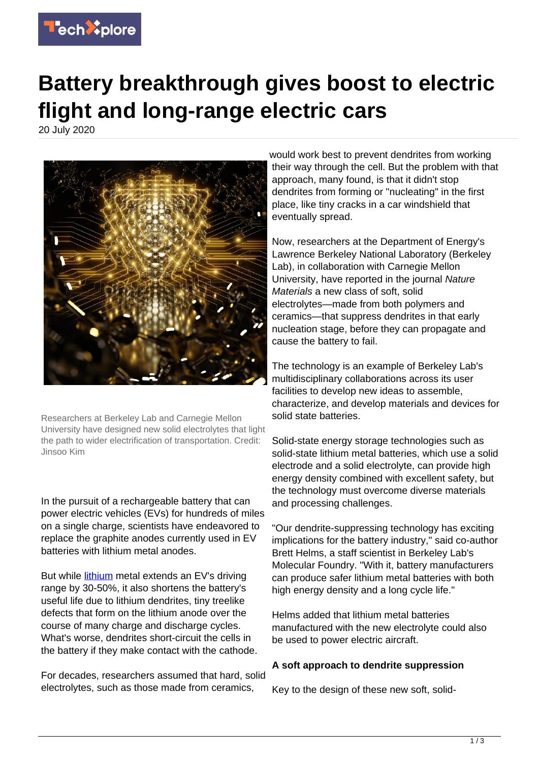

## **Battery breakthrough gives boost to electric flight and long-range electric cars**

20 July 2020



Researchers at Berkeley Lab and Carnegie Mellon University have designed new solid electrolytes that light the path to wider electrification of transportation. Credit: Jinsoo Kim

In the pursuit of a rechargeable battery that can power electric vehicles (EVs) for hundreds of miles on a single charge, scientists have endeavored to replace the graphite anodes currently used in EV batteries with lithium metal anodes.

But while *lithium* metal extends an EV's driving range by 30-50%, it also shortens the battery's useful life due to lithium dendrites, tiny treelike defects that form on the lithium anode over the course of many charge and discharge cycles. What's worse, dendrites short-circuit the cells in the battery if they make contact with the cathode.

For decades, researchers assumed that hard, solid electrolytes, such as those made from ceramics,

would work best to prevent dendrites from working their way through the cell. But the problem with that approach, many found, is that it didn't stop dendrites from forming or "nucleating" in the first place, like tiny cracks in a car windshield that eventually spread.

Now, researchers at the Department of Energy's Lawrence Berkeley National Laboratory (Berkeley Lab), in collaboration with Carnegie Mellon University, have reported in the journal Nature Materials a new class of soft, solid electrolytes—made from both polymers and ceramics—that suppress dendrites in that early nucleation stage, before they can propagate and cause the battery to fail.

The technology is an example of Berkeley Lab's multidisciplinary collaborations across its user facilities to develop new ideas to assemble, characterize, and develop materials and devices for solid state batteries.

Solid-state energy storage technologies such as solid-state lithium metal batteries, which use a solid electrode and a solid electrolyte, can provide high energy density combined with excellent safety, but the technology must overcome diverse materials and processing challenges.

"Our dendrite-suppressing technology has exciting implications for the battery industry," said co-author Brett Helms, a staff scientist in Berkeley Lab's Molecular Foundry. "With it, battery manufacturers can produce safer lithium metal batteries with both high energy density and a long cycle life."

Helms added that lithium metal batteries manufactured with the new electrolyte could also be used to power electric aircraft.

## **A soft approach to dendrite suppression**

Key to the design of these new soft, solid-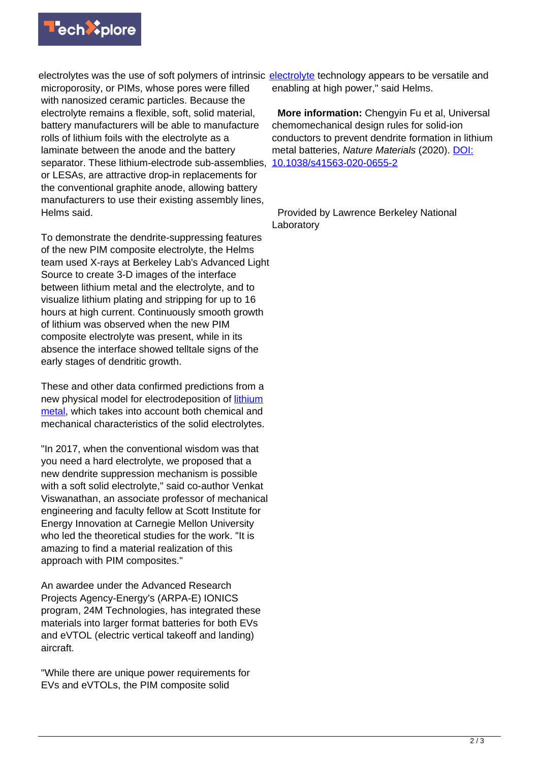

electrolytes was the use of soft polymers of intrinsic [electrolyte](https://techxplore.com/tags/electrolyte/) technology appears to be versatile and microporosity, or PIMs, whose pores were filled with nanosized ceramic particles. Because the electrolyte remains a flexible, soft, solid material, battery manufacturers will be able to manufacture rolls of lithium foils with the electrolyte as a laminate between the anode and the battery separator. These lithium-electrode sub-assemblies, [10.1038/s41563-020-0655-2](http://dx.doi.org/10.1038/s41563-020-0655-2) or LESAs, are attractive drop-in replacements for the conventional graphite anode, allowing battery manufacturers to use their existing assembly lines, Helms said.

To demonstrate the dendrite-suppressing features of the new PIM composite electrolyte, the Helms team used X-rays at Berkeley Lab's Advanced Light Source to create 3-D images of the interface between lithium metal and the electrolyte, and to visualize lithium plating and stripping for up to 16 hours at high current. Continuously smooth growth of lithium was observed when the new PIM composite electrolyte was present, while in its absence the interface showed telltale signs of the early stages of dendritic growth.

These and other data confirmed predictions from a new physical model for electrodeposition of [lithium](https://techxplore.com/tags/lithium+metal/) [metal](https://techxplore.com/tags/lithium+metal/), which takes into account both chemical and mechanical characteristics of the solid electrolytes.

"In 2017, when the conventional wisdom was that you need a hard electrolyte, we proposed that a new dendrite suppression mechanism is possible with a soft solid electrolyte," said co-author Venkat Viswanathan, an associate professor of mechanical engineering and faculty fellow at Scott Institute for Energy Innovation at Carnegie Mellon University who led the theoretical studies for the work. "It is amazing to find a material realization of this approach with PIM composites."

An awardee under the Advanced Research Projects Agency-Energy's (ARPA-E) IONICS program, 24M Technologies, has integrated these materials into larger format batteries for both EVs and eVTOL (electric vertical takeoff and landing) aircraft.

"While there are unique power requirements for EVs and eVTOLs, the PIM composite solid

enabling at high power," said Helms.

 **More information:** Chengyin Fu et al, Universal chemomechanical design rules for solid-ion conductors to prevent dendrite formation in lithium metal batteries, Nature Materials (2020). [DOI:](http://dx.doi.org/10.1038/s41563-020-0655-2)

 Provided by Lawrence Berkeley National Laboratory